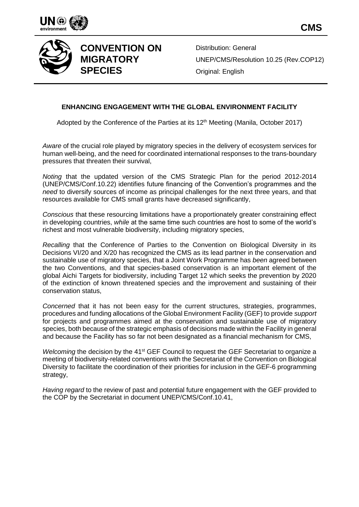



## **CONVENTION ON MIGRATORY SPECIES**

Distribution: General UNEP/CMS/Resolution 10.25 (Rev.COP12) Original: English

## **ENHANCING ENGAGEMENT WITH THE GLOBAL ENVIRONMENT FACILITY**

Adopted by the Conference of the Parties at its 12<sup>th</sup> Meeting (Manila, October 2017)

*Aware* of the crucial role played by migratory species in the delivery of ecosystem services for human well-being, and the need for coordinated international responses to the trans-boundary pressures that threaten their survival,

*Noting* that the updated version of the CMS Strategic Plan for the period 2012-2014 (UNEP/CMS/Conf.10.22) identifies future financing of the Convention's programmes and the *need* to diversify sources of income as principal challenges for the next three years, and that resources available for CMS small grants have decreased significantly,

*Conscious* that these resourcing limitations have a proportionately greater constraining effect in developing countries, *while* at the same time such countries are host to some of the world's richest and most vulnerable biodiversity, including migratory species,

*Recalling* that the Conference of Parties to the Convention on Biological Diversity in its Decisions VI/20 and X/20 has recognized the CMS as its lead partner in the conservation and sustainable use of migratory species, that a Joint Work Programme has *been* agreed between the two Conventions, and that species-based conservation is an important element of the global Aichi Targets for biodiversity, including Target 12 which seeks the prevention by 2020 of the extinction of known threatened species and the improvement and sustaining of their conservation status,

*Concerned* that it has not been easy for the current structures, strategies, programmes, procedures and funding allocations of the Global Environment Facility (GEF) to provide *support* for projects and programmes aimed at the conservation and sustainable use of migratory species, both because of the strategic emphasis of decisions made within the Facility in general and because the Facility has so far not been designated as a financial mechanism for CMS,

*Welcoming* the decision by the 41<sup>st</sup> GEF Council to request the GEF Secretariat to organize a meeting of biodiversity-related conventions with the Secretariat of the Convention on Biological Diversity to facilitate the coordination of their priorities for inclusion in the GEF-6 programming strategy,

*Having regard* to the review of past and potential future engagement with the GEF provided to the COP by the Secretariat in document UNEP/CMS/Conf.10.41,